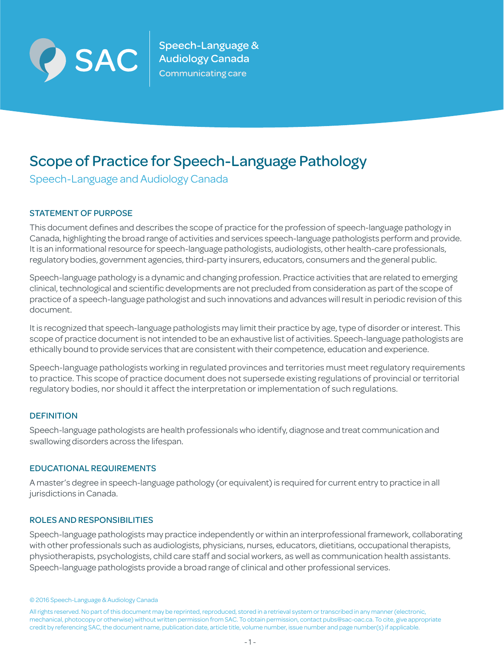

Speech-Language &  $\left| \text{SAC} \right|$   $_{\text{Coulomb}}^{\text{Speech-Language}}$ Communicating care

# Scope of Practice for Speech-Language Pathology

Speech-Language and Audiology Canada

# STATEMENT OF PURPOSE

This document defines and describes the scope of practice for the profession of speech-language pathology in Canada, highlighting the broad range of activities and services speech-language pathologists perform and provide. It is an informational resource for speech-language pathologists, audiologists, other health-care professionals, regulatory bodies, government agencies, third-party insurers, educators, consumers and the general public.

Speech-language pathology is a dynamic and changing profession. Practice activities that are related to emerging clinical, technological and scientific developments are not precluded from consideration as part of the scope of practice of a speech-language pathologist and such innovations and advances will result in periodic revision of this document.

It is recognized that speech-language pathologists may limit their practice by age, type of disorder or interest. This scope of practice document is not intended to be an exhaustive list of activities. Speech-language pathologists are ethically bound to provide services that are consistent with their competence, education and experience.

Speech-language pathologists working in regulated provinces and territories must meet regulatory requirements to practice. This scope of practice document does not supersede existing regulations of provincial or territorial regulatory bodies, nor should it affect the interpretation or implementation of such regulations.

## **DEFINITION**

Speech-language pathologists are health professionals who identify, diagnose and treat communication and swallowing disorders across the lifespan.

## EDUCATIONAL REQUIREMENTS

A master's degree in speech-language pathology (or equivalent) is required for current entry to practice in all jurisdictions in Canada.

## ROLES AND RESPONSIBILITIES

Speech-language pathologists may practice independently or within an interprofessional framework, collaborating with other professionals such as audiologists, physicians, nurses, educators, dietitians, occupational therapists, physiotherapists, psychologists, child care staff and social workers, as well as communication health assistants. Speech-language pathologists provide a broad range of clinical and other professional services.

<sup>© 2016</sup> Speech-Language & Audiology Canada

All rights reserved. No part of this document may be reprinted, reproduced, stored in a retrieval system or transcribed in any manner (electronic, mechanical, photocopy or otherwise) without written permission from SAC. To obtain permission, contact pubs@sac-oac.ca. To cite, give appropriate credit by referencing SAC, the document name, publication date, article title, volume number, issue number and page number(s) if applicable.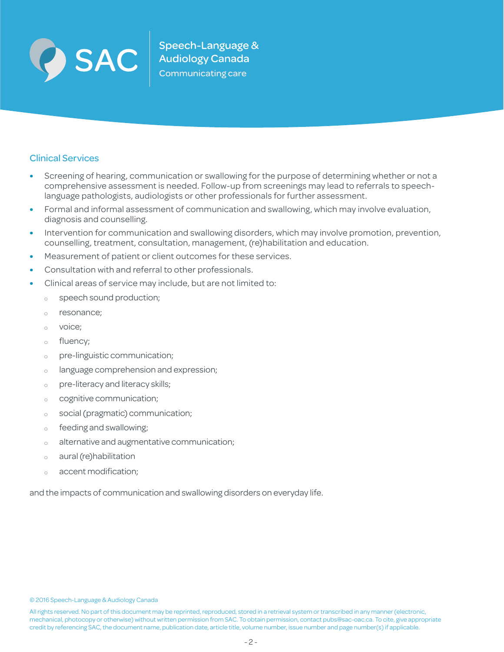

 $\sum \mathbf{AC}$  Speech-Language &

# Clinical Services

- **•** Screening of hearing, communication or swallowing for the purpose of determining whether or not a comprehensive assessment is needed. Follow-up from screenings may lead to referrals to speechlanguage pathologists, audiologists or other professionals for further assessment.
- **•** Formal and informal assessment of communication and swallowing, which may involve evaluation, diagnosis and counselling.
- **•** Intervention for communication and swallowing disorders, which may involve promotion, prevention, counselling, treatment, consultation, management, (re)habilitation and education.
- **•** Measurement of patient or client outcomes for these services.
- **•** Consultation with and referral to other professionals.
- **•** Clinical areas of service may include, but are not limited to:
	- o speech sound production;
	- o resonance;
	- <sup>Ƀ</sup> voice;
	- o fluency:
	- <sup>Ƀ</sup> pre-linguistic communication;
	- o language comprehension and expression;
	- o pre-literacy and literacy skills;
	- <sup>Ƀ</sup> cognitive communication;
	- <sup>Ƀ</sup> social (pragmatic) communication;
	- o feeding and swallowing;
	- <sup>Ƀ</sup> alternative and augmentative communication;
	- o aural (re)habilitation
	- o accent modification;

and the impacts of communication and swallowing disorders on everyday life.

© 2016 Speech-Language & Audiology Canada

All rights reserved. No part of this document may be reprinted, reproduced, stored in a retrieval system or transcribed in any manner (electronic, mechanical, photocopy or otherwise) without written permission from SAC. To obtain permission, contact pubs@sac-oac.ca. To cite, give appropriate credit by referencing SAC, the document name, publication date, article title, volume number, issue number and page number(s) if applicable.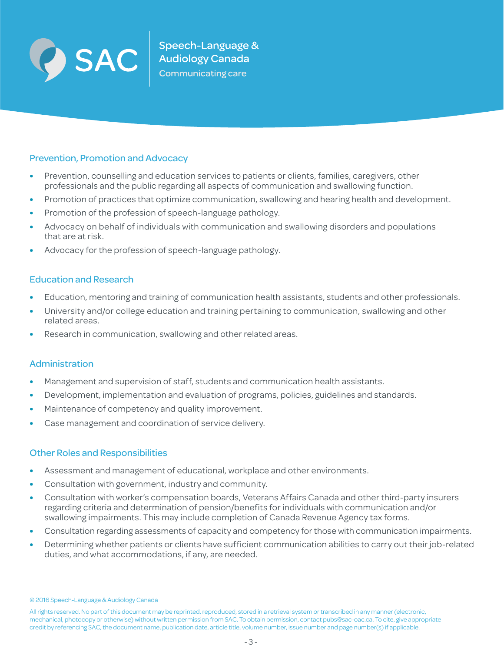

## Prevention, Promotion and Advocacy

- **•** Prevention, counselling and education services to patients or clients, families, caregivers, other professionals and the public regarding all aspects of communication and swallowing function.
- **•** Promotion of practices that optimize communication, swallowing and hearing health and development.
- **•** Promotion of the profession of speech-language pathology.
- **•** Advocacy on behalf of individuals with communication and swallowing disorders and populations that are at risk.
- **•** Advocacy for the profession of speech-language pathology.

## Education and Research

- **•** Education, mentoring and training of communication health assistants, students and other professionals.
- **•** University and/or college education and training pertaining to communication, swallowing and other related areas.
- **•** Research in communication, swallowing and other related areas.

## Administration

- **•** Management and supervision of staff, students and communication health assistants.
- **•** Development, implementation and evaluation of programs, policies, guidelines and standards.
- **•** Maintenance of competency and quality improvement.
- **•** Case management and coordination of service delivery.

## Other Roles and Responsibilities

- **•** Assessment and management of educational, workplace and other environments.
- **•** Consultation with government, industry and community.
- **•** Consultation with worker's compensation boards, Veterans Affairs Canada and other third-party insurers regarding criteria and determination of pension/benefits for individuals with communication and/or swallowing impairments. This may include completion of Canada Revenue Agency tax forms.
- **•** Consultation regarding assessments of capacity and competency for those with communication impairments.
- **•** Determining whether patients or clients have sufficient communication abilities to carry out their job-related duties, and what accommodations, if any, are needed.

<sup>© 2016</sup> Speech-Language & Audiology Canada

All rights reserved. No part of this document may be reprinted, reproduced, stored in a retrieval system or transcribed in any manner (electronic, mechanical, photocopy or otherwise) without written permission from SAC. To obtain permission, contact pubs@sac-oac.ca. To cite, give appropriate credit by referencing SAC, the document name, publication date, article title, volume number, issue number and page number(s) if applicable.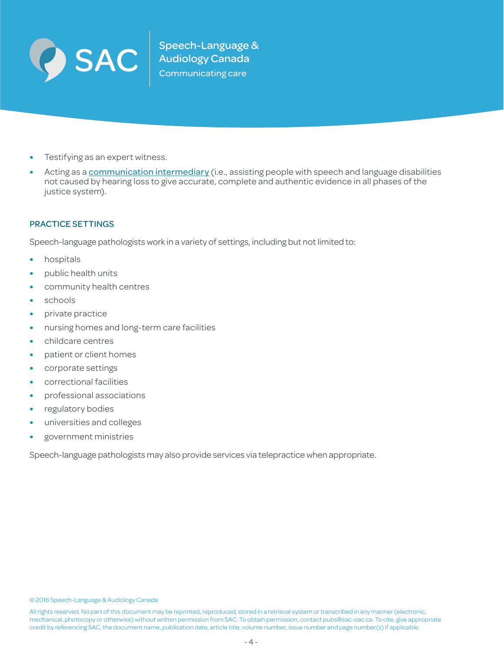

- **•** Testifying as an expert witness.
- Acting as a **[communication intermediary](http://www.access-to-justice.org/communication-intermediaries/roster/communication-intermediaries/)** (i.e., assisting people with speech and language disabilities not caused by hearing loss to give accurate, complete and authentic evidence in all phases of the justice system).

#### PRACTICE SETTINGS

Speech-language pathologists work in a variety of settings, including but not limited to:

- **•** hospitals
- **•** public health units
- **•** community health centres
- **•** schools
- **•** private practice
- **•** nursing homes and long-term care facilities
- **•** childcare centres
- **•** patient or client homes
- **•** corporate settings
- **•** correctional facilities
- **•** professional associations
- **•** regulatory bodies
- **•** universities and colleges
- **•** government ministries

Speech-language pathologists may also provide services via telepractice when appropriate.

© 2016 Speech-Language & Audiology Canada

All rights reserved. No part of this document may be reprinted, reproduced, stored in a retrieval system or transcribed in any manner (electronic, mechanical, photocopy or otherwise) without written permission from SAC. To obtain permission, contact pubs@sac-oac.ca. To cite, give appropriate credit by referencing SAC, the document name, publication date, article title, volume number, issue number and page number(s) if applicable.